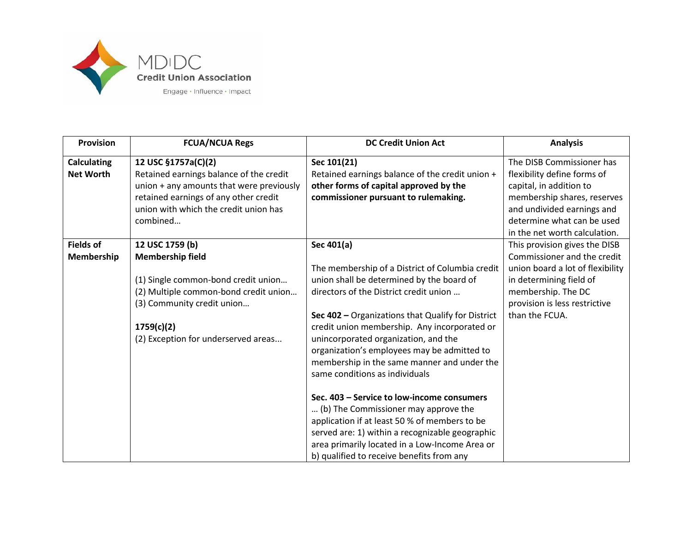

| <b>Provision</b>                       | <b>FCUA/NCUA Regs</b>                                                                                                                                           | <b>DC Credit Union Act</b>                                                                                                                                                                                                                                                                                                                                                                                          | <b>Analysis</b>                                                                                                                      |
|----------------------------------------|-----------------------------------------------------------------------------------------------------------------------------------------------------------------|---------------------------------------------------------------------------------------------------------------------------------------------------------------------------------------------------------------------------------------------------------------------------------------------------------------------------------------------------------------------------------------------------------------------|--------------------------------------------------------------------------------------------------------------------------------------|
| <b>Calculating</b><br><b>Net Worth</b> | 12 USC §1757a(C)(2)<br>Retained earnings balance of the credit<br>union + any amounts that were previously                                                      | Sec 101(21)<br>Retained earnings balance of the credit union +<br>other forms of capital approved by the                                                                                                                                                                                                                                                                                                            | The DISB Commissioner has<br>flexibility define forms of<br>capital, in addition to                                                  |
|                                        | retained earnings of any other credit<br>union with which the credit union has<br>combined                                                                      | commissioner pursuant to rulemaking.                                                                                                                                                                                                                                                                                                                                                                                | membership shares, reserves<br>and undivided earnings and<br>determine what can be used                                              |
|                                        |                                                                                                                                                                 |                                                                                                                                                                                                                                                                                                                                                                                                                     | in the net worth calculation.                                                                                                        |
| <b>Fields of</b><br>Membership         | 12 USC 1759 (b)<br><b>Membership field</b>                                                                                                                      | Sec 401(a)                                                                                                                                                                                                                                                                                                                                                                                                          | This provision gives the DISB<br>Commissioner and the credit                                                                         |
|                                        | (1) Single common-bond credit union<br>(2) Multiple common-bond credit union<br>(3) Community credit union<br>1759(c)(2)<br>(2) Exception for underserved areas | The membership of a District of Columbia credit<br>union shall be determined by the board of<br>directors of the District credit union<br>Sec 402 - Organizations that Qualify for District<br>credit union membership. Any incorporated or<br>unincorporated organization, and the<br>organization's employees may be admitted to<br>membership in the same manner and under the<br>same conditions as individuals | union board a lot of flexibility<br>in determining field of<br>membership. The DC<br>provision is less restrictive<br>than the FCUA. |
|                                        |                                                                                                                                                                 | Sec. 403 - Service to low-income consumers<br>(b) The Commissioner may approve the<br>application if at least 50 % of members to be<br>served are: 1) within a recognizable geographic<br>area primarily located in a Low-Income Area or<br>b) qualified to receive benefits from any                                                                                                                               |                                                                                                                                      |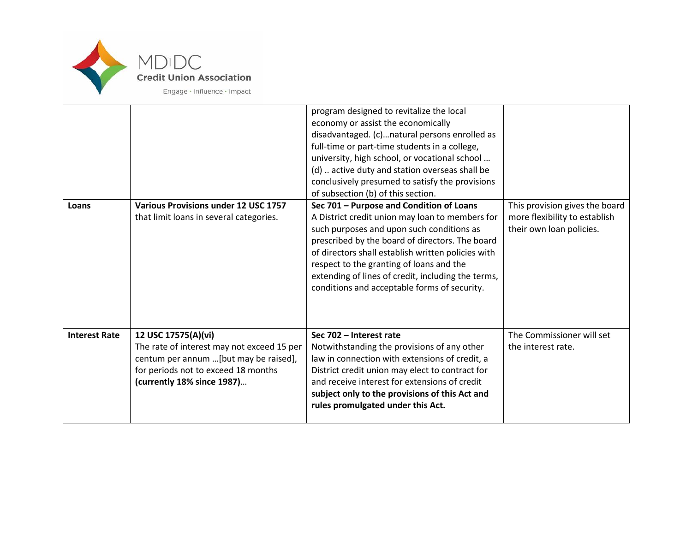

| Loans                | <b>Various Provisions under 12 USC 1757</b><br>that limit loans in several categories.                                                                                           | program designed to revitalize the local<br>economy or assist the economically<br>disadvantaged. (c)natural persons enrolled as<br>full-time or part-time students in a college,<br>university, high school, or vocational school<br>(d)  active duty and station overseas shall be<br>conclusively presumed to satisfy the provisions<br>of subsection (b) of this section.<br>Sec 701 - Purpose and Condition of Loans<br>A District credit union may loan to members for<br>such purposes and upon such conditions as<br>prescribed by the board of directors. The board<br>of directors shall establish written policies with<br>respect to the granting of loans and the<br>extending of lines of credit, including the terms,<br>conditions and acceptable forms of security. | This provision gives the board<br>more flexibility to establish<br>their own loan policies. |
|----------------------|----------------------------------------------------------------------------------------------------------------------------------------------------------------------------------|-------------------------------------------------------------------------------------------------------------------------------------------------------------------------------------------------------------------------------------------------------------------------------------------------------------------------------------------------------------------------------------------------------------------------------------------------------------------------------------------------------------------------------------------------------------------------------------------------------------------------------------------------------------------------------------------------------------------------------------------------------------------------------------|---------------------------------------------------------------------------------------------|
| <b>Interest Rate</b> | 12 USC 17575(A)(vi)<br>The rate of interest may not exceed 15 per<br>centum per annum  [but may be raised],<br>for periods not to exceed 18 months<br>(currently 18% since 1987) | Sec 702 - Interest rate<br>Notwithstanding the provisions of any other<br>law in connection with extensions of credit, a<br>District credit union may elect to contract for<br>and receive interest for extensions of credit<br>subject only to the provisions of this Act and<br>rules promulgated under this Act.                                                                                                                                                                                                                                                                                                                                                                                                                                                                 | The Commissioner will set<br>the interest rate.                                             |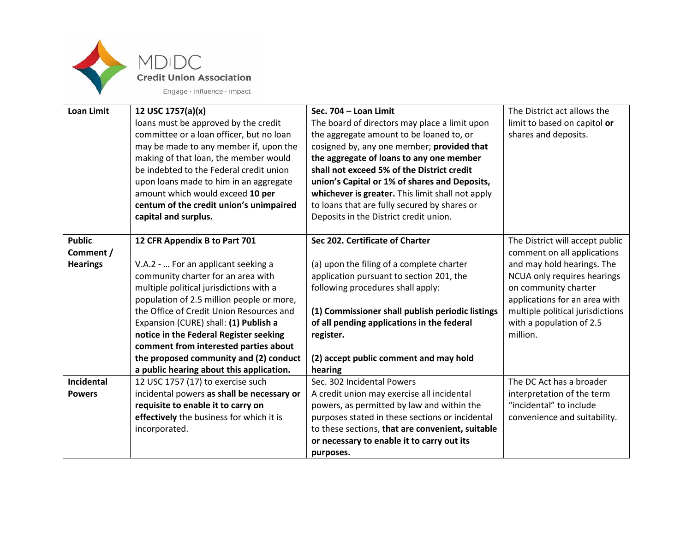

| <b>Loan Limit</b>          | 12 USC 1757(a)(x)<br>loans must be approved by the credit<br>committee or a loan officer, but no loan<br>may be made to any member if, upon the<br>making of that loan, the member would<br>be indebted to the Federal credit union<br>upon loans made to him in an aggregate<br>amount which would exceed 10 per | Sec. 704 - Loan Limit<br>The board of directors may place a limit upon<br>the aggregate amount to be loaned to, or<br>cosigned by, any one member; provided that<br>the aggregate of loans to any one member<br>shall not exceed 5% of the District credit<br>union's Capital or 1% of shares and Deposits,<br>whichever is greater. This limit shall not apply | The District act allows the<br>limit to based on capitol or<br>shares and deposits. |
|----------------------------|-------------------------------------------------------------------------------------------------------------------------------------------------------------------------------------------------------------------------------------------------------------------------------------------------------------------|-----------------------------------------------------------------------------------------------------------------------------------------------------------------------------------------------------------------------------------------------------------------------------------------------------------------------------------------------------------------|-------------------------------------------------------------------------------------|
|                            | centum of the credit union's unimpaired<br>capital and surplus.                                                                                                                                                                                                                                                   | to loans that are fully secured by shares or<br>Deposits in the District credit union.                                                                                                                                                                                                                                                                          |                                                                                     |
|                            |                                                                                                                                                                                                                                                                                                                   |                                                                                                                                                                                                                                                                                                                                                                 |                                                                                     |
| <b>Public</b><br>Comment / | 12 CFR Appendix B to Part 701                                                                                                                                                                                                                                                                                     | Sec 202. Certificate of Charter                                                                                                                                                                                                                                                                                                                                 | The District will accept public<br>comment on all applications                      |
| <b>Hearings</b>            | V.A.2 -  For an applicant seeking a                                                                                                                                                                                                                                                                               | (a) upon the filing of a complete charter                                                                                                                                                                                                                                                                                                                       | and may hold hearings. The                                                          |
|                            | community charter for an area with                                                                                                                                                                                                                                                                                | application pursuant to section 201, the                                                                                                                                                                                                                                                                                                                        | NCUA only requires hearings                                                         |
|                            | multiple political jurisdictions with a<br>population of 2.5 million people or more,                                                                                                                                                                                                                              | following procedures shall apply:                                                                                                                                                                                                                                                                                                                               | on community charter<br>applications for an area with                               |
|                            | the Office of Credit Union Resources and                                                                                                                                                                                                                                                                          | (1) Commissioner shall publish periodic listings                                                                                                                                                                                                                                                                                                                | multiple political jurisdictions                                                    |
|                            | Expansion (CURE) shall: (1) Publish a                                                                                                                                                                                                                                                                             | of all pending applications in the federal                                                                                                                                                                                                                                                                                                                      | with a population of 2.5                                                            |
|                            | notice in the Federal Register seeking                                                                                                                                                                                                                                                                            | register.                                                                                                                                                                                                                                                                                                                                                       | million.                                                                            |
|                            | comment from interested parties about<br>the proposed community and (2) conduct                                                                                                                                                                                                                                   | (2) accept public comment and may hold                                                                                                                                                                                                                                                                                                                          |                                                                                     |
|                            | a public hearing about this application.                                                                                                                                                                                                                                                                          | hearing                                                                                                                                                                                                                                                                                                                                                         |                                                                                     |
| Incidental                 | 12 USC 1757 (17) to exercise such                                                                                                                                                                                                                                                                                 | Sec. 302 Incidental Powers                                                                                                                                                                                                                                                                                                                                      | The DC Act has a broader                                                            |
| <b>Powers</b>              | incidental powers as shall be necessary or                                                                                                                                                                                                                                                                        | A credit union may exercise all incidental                                                                                                                                                                                                                                                                                                                      | interpretation of the term                                                          |
|                            | requisite to enable it to carry on                                                                                                                                                                                                                                                                                | powers, as permitted by law and within the                                                                                                                                                                                                                                                                                                                      | "incidental" to include                                                             |
|                            | effectively the business for which it is                                                                                                                                                                                                                                                                          | purposes stated in these sections or incidental                                                                                                                                                                                                                                                                                                                 | convenience and suitability.                                                        |
|                            | incorporated.                                                                                                                                                                                                                                                                                                     | to these sections, that are convenient, suitable                                                                                                                                                                                                                                                                                                                |                                                                                     |
|                            |                                                                                                                                                                                                                                                                                                                   | or necessary to enable it to carry out its                                                                                                                                                                                                                                                                                                                      |                                                                                     |
|                            |                                                                                                                                                                                                                                                                                                                   | purposes.                                                                                                                                                                                                                                                                                                                                                       |                                                                                     |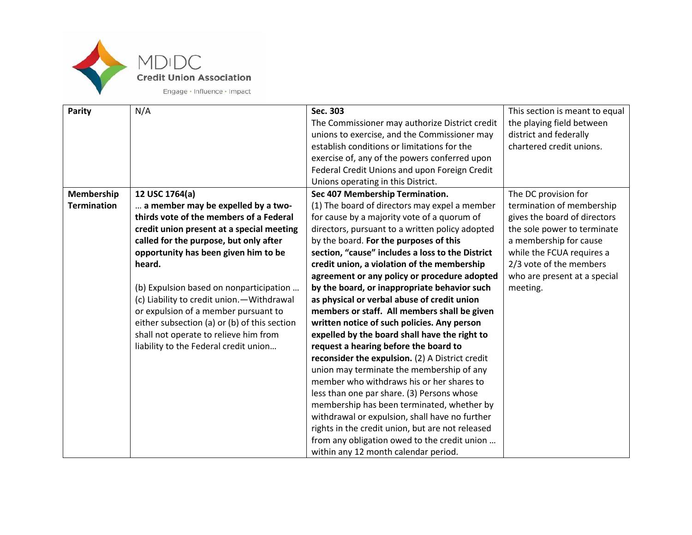

| Parity             | N/A                                          | Sec. 303                                         | This section is meant to equal |
|--------------------|----------------------------------------------|--------------------------------------------------|--------------------------------|
|                    |                                              | The Commissioner may authorize District credit   | the playing field between      |
|                    |                                              | unions to exercise, and the Commissioner may     | district and federally         |
|                    |                                              | establish conditions or limitations for the      | chartered credit unions.       |
|                    |                                              | exercise of, any of the powers conferred upon    |                                |
|                    |                                              | Federal Credit Unions and upon Foreign Credit    |                                |
|                    |                                              | Unions operating in this District.               |                                |
| Membership         | 12 USC 1764(a)                               | Sec 407 Membership Termination.                  | The DC provision for           |
| <b>Termination</b> | a member may be expelled by a two-           | (1) The board of directors may expel a member    | termination of membership      |
|                    | thirds vote of the members of a Federal      | for cause by a majority vote of a quorum of      | gives the board of directors   |
|                    | credit union present at a special meeting    | directors, pursuant to a written policy adopted  | the sole power to terminate    |
|                    | called for the purpose, but only after       | by the board. For the purposes of this           | a membership for cause         |
|                    | opportunity has been given him to be         | section, "cause" includes a loss to the District | while the FCUA requires a      |
|                    | heard.                                       | credit union, a violation of the membership      | 2/3 vote of the members        |
|                    |                                              | agreement or any policy or procedure adopted     | who are present at a special   |
|                    | (b) Expulsion based on nonparticipation      | by the board, or inappropriate behavior such     | meeting.                       |
|                    | (c) Liability to credit union. - Withdrawal  | as physical or verbal abuse of credit union      |                                |
|                    | or expulsion of a member pursuant to         | members or staff. All members shall be given     |                                |
|                    | either subsection (a) or (b) of this section | written notice of such policies. Any person      |                                |
|                    | shall not operate to relieve him from        | expelled by the board shall have the right to    |                                |
|                    | liability to the Federal credit union        | request a hearing before the board to            |                                |
|                    |                                              | reconsider the expulsion. (2) A District credit  |                                |
|                    |                                              | union may terminate the membership of any        |                                |
|                    |                                              | member who withdraws his or her shares to        |                                |
|                    |                                              | less than one par share. (3) Persons whose       |                                |
|                    |                                              | membership has been terminated, whether by       |                                |
|                    |                                              | withdrawal or expulsion, shall have no further   |                                |
|                    |                                              | rights in the credit union, but are not released |                                |
|                    |                                              | from any obligation owed to the credit union     |                                |
|                    |                                              | within any 12 month calendar period.             |                                |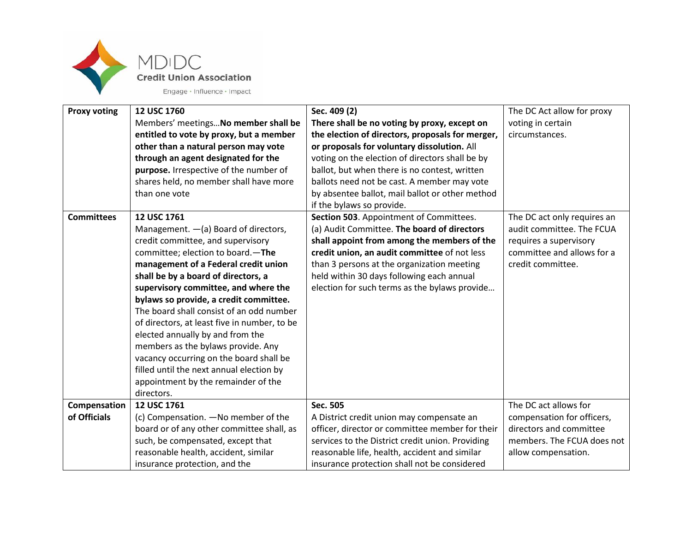

| <b>Proxy voting</b> | 12 USC 1760                                  | Sec. 409 (2)                                     | The DC Act allow for proxy  |
|---------------------|----------------------------------------------|--------------------------------------------------|-----------------------------|
|                     | Members' meetings No member shall be         | There shall be no voting by proxy, except on     | voting in certain           |
|                     | entitled to vote by proxy, but a member      | the election of directors, proposals for merger, | circumstances.              |
|                     | other than a natural person may vote         | or proposals for voluntary dissolution. All      |                             |
|                     | through an agent designated for the          | voting on the election of directors shall be by  |                             |
|                     | purpose. Irrespective of the number of       | ballot, but when there is no contest, written    |                             |
|                     | shares held, no member shall have more       | ballots need not be cast. A member may vote      |                             |
|                     | than one vote                                | by absentee ballot, mail ballot or other method  |                             |
|                     |                                              | if the bylaws so provide.                        |                             |
| <b>Committees</b>   | 12 USC 1761                                  | Section 503. Appointment of Committees.          | The DC act only requires an |
|                     | Management. - (a) Board of directors,        | (a) Audit Committee. The board of directors      | audit committee. The FCUA   |
|                     | credit committee, and supervisory            | shall appoint from among the members of the      | requires a supervisory      |
|                     | committee; election to board.-The            | credit union, an audit committee of not less     | committee and allows for a  |
|                     | management of a Federal credit union         | than 3 persons at the organization meeting       | credit committee.           |
|                     | shall be by a board of directors, a          | held within 30 days following each annual        |                             |
|                     | supervisory committee, and where the         | election for such terms as the bylaws provide    |                             |
|                     | bylaws so provide, a credit committee.       |                                                  |                             |
|                     | The board shall consist of an odd number     |                                                  |                             |
|                     | of directors, at least five in number, to be |                                                  |                             |
|                     | elected annually by and from the             |                                                  |                             |
|                     | members as the bylaws provide. Any           |                                                  |                             |
|                     | vacancy occurring on the board shall be      |                                                  |                             |
|                     | filled until the next annual election by     |                                                  |                             |
|                     | appointment by the remainder of the          |                                                  |                             |
|                     | directors.                                   |                                                  |                             |
| Compensation        | 12 USC 1761                                  | Sec. 505                                         | The DC act allows for       |
| of Officials        | (c) Compensation. - No member of the         | A District credit union may compensate an        | compensation for officers,  |
|                     | board or of any other committee shall, as    | officer, director or committee member for their  | directors and committee     |
|                     | such, be compensated, except that            | services to the District credit union. Providing | members. The FCUA does not  |
|                     | reasonable health, accident, similar         | reasonable life, health, accident and similar    | allow compensation.         |
|                     | insurance protection, and the                | insurance protection shall not be considered     |                             |